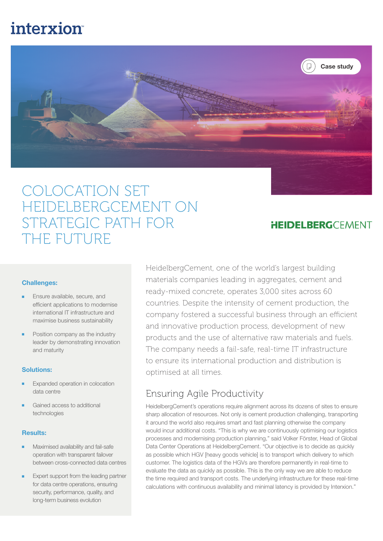# **interxion**



## COLOCATION SET HEIDELBERGCEMENT ON STRATEGIC PATH FOR THE FUTURE

### **HEIDELBERG**CEMENT

#### Challenges:

- Ensure available, secure, and efficient applications to modernise international IT infrastructure and maximise business sustainability
- Position company as the industry leader by demonstrating innovation and maturity

#### Solutions:

- Expanded operation in colocation data centre
- Gained access to additional technologies

#### Results:

- Maximised availability and fail-safe operation with transparent failover between cross-connected data centres
- Expert support from the leading partner for data centre operations, ensuring security, performance, quality, and long-term business evolution

HeidelbergCement, one of the world's largest building materials companies leading in aggregates, cement and ready-mixed concrete, operates 3,000 sites across 60 countries. Despite the intensity of cement production, the company fostered a successful business through an efficient and innovative production process, development of new products and the use of alternative raw materials and fuels. The company needs a fail-safe, real-time IT infrastructure to ensure its international production and distribution is optimised at all times.

## Ensuring Agile Productivity

HeidelbergCement's operations require alignment across its dozens of sites to ensure sharp allocation of resources. Not only is cement production challenging, transporting it around the world also requires smart and fast planning otherwise the company would incur additional costs. "This is why we are continuously optimising our logistics processes and modernising production planning," said Volker Förster, Head of Global Data Center Operations at HeidelbergCement. "Our objective is to decide as quickly as possible which HGV [heavy goods vehicle] is to transport which delivery to which customer. The logistics data of the HGVs are therefore permanently in real-time to evaluate the data as quickly as possible. This is the only way we are able to reduce the time required and transport costs. The underlying infrastructure for these real-time calculations with continuous availability and minimal latency is provided by Interxion."